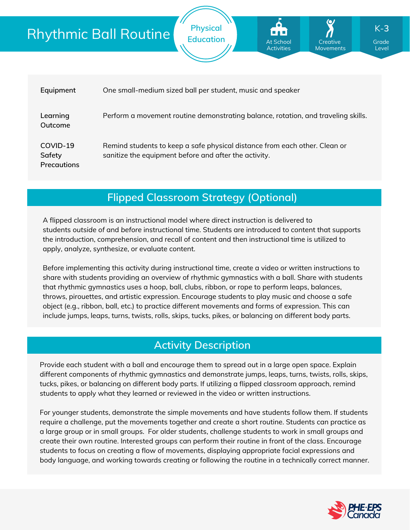## Rhythmic Ball Routine

| Equipment                                | One small-medium sized ball per student, music and speaker                                                                          |
|------------------------------------------|-------------------------------------------------------------------------------------------------------------------------------------|
| Learning<br>Outcome                      | Perform a movement routine demonstrating balance, rotation, and traveling skills.                                                   |
| COVID-19<br>Safety<br><b>Precautions</b> | Remind students to keep a safe physical distance from each other. Clean or<br>sanitize the equipment before and after the activity. |

**Physical**

**Education Grade** At School **Grade** Creative Grade

At School **Activities** 

Creative Movements

Level

K-**3**

### **Flipped Classroom Strategy (Optional)**

A flipped classroom is an instructional model where direct instruction is delivered to students *outside of* and *before* instructional time. Students are introduced to content that supports the introduction, comprehension, and recall of content and then instructional time is utilized to apply, analyze, synthesize, or evaluate content.

Before implementing this activity during instructional time, create a video or written instructions to share with students providing an overview of rhythmic gymnastics with a ball. Share with students that rhythmic gymnastics uses a hoop, ball, clubs, ribbon, or rope to perform leaps, balances, throws, pirouettes, and artistic expression. Encourage students to play music and choose a safe object (e.g., ribbon, ball, etc.) to practice different movements and forms of expression. This can include jumps, leaps, turns, twists, rolls, skips, tucks, pikes, or balancing on different body parts.

## **Activity Description**

Provide each student with a ball and encourage them to spread out in a large open space. Explain different components of rhythmic gymnastics and demonstrate jumps, leaps, turns, twists, rolls, skips, tucks, pikes, or balancing on different body parts. If utilizing a flipped classroom approach, remind students to apply what they learned or reviewed in the video or written instructions.

For younger students, demonstrate the simple movements and have students follow them. If students require a challenge, put the movements together and create a short routine. Students can practice as a large group or in small groups. For older students, challenge students to work in small groups and create their own routine. Interested groups can perform their routine in front of the class. Encourage students to focus on creating a flow of movements, displaying appropriate facial expressions and body language, and working towards creating or following the routine in a technically correct manner.

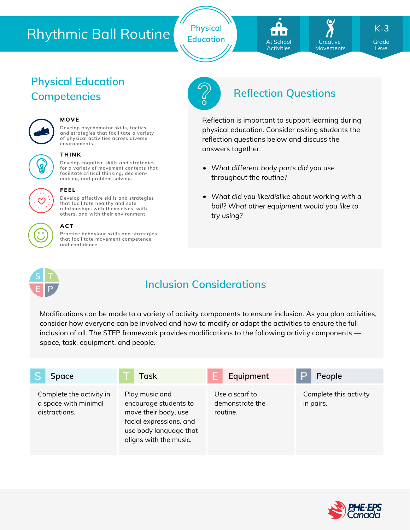# Rhythmic Ball Routine

**Physical**



**Creative** Movements K-**3**

Level

# **Physical Education**



#### **MOVE**

**Develop psychomotor skills, tactics, and strategies that facilitate a variety of physical activities across diverse environments.**



#### **THINK**

**FEEL**

**Develop cognitive skills and strategies for a variety of movement contexts that facilitate critical thinking, decision making, and problem solving.**

**Develop affective skills and strategies that facilitate healthy and safe relationships with themselves, with others, and with their environment.**



#### **ACT**

**Practice behaviour skills and strategies that facilitate movement competence and confidence.**



## **Competencies Reflection Questions**

Reflection is important to support learning during physical education. Consider asking students the reflection questions below and discuss the answers together.

- *What different body parts did you use throughout the routine?*
- *What did you like/dislike about working with a ball? What other equipment would you like to try using?*



## **Inclusion Considerations**

Modifications can be made to a variety of activity components to ensure inclusion. As you plan activities, consider how everyone can be involved and how to modify or adapt the activities to ensure the full inclusion of all. The STEP framework provides modifications to the following activity components space, task, equipment, and people.

| <b>Space</b>                                                      | Task                                                                                                                                           | Equipment                                     | People                              |
|-------------------------------------------------------------------|------------------------------------------------------------------------------------------------------------------------------------------------|-----------------------------------------------|-------------------------------------|
| Complete the activity in<br>a space with minimal<br>distractions. | Play music and<br>encourage students to<br>move their body, use<br>facial expressions, and<br>use body language that<br>aligns with the music. | Use a scarf to<br>demonstrate the<br>routine. | Complete this activity<br>in pairs. |